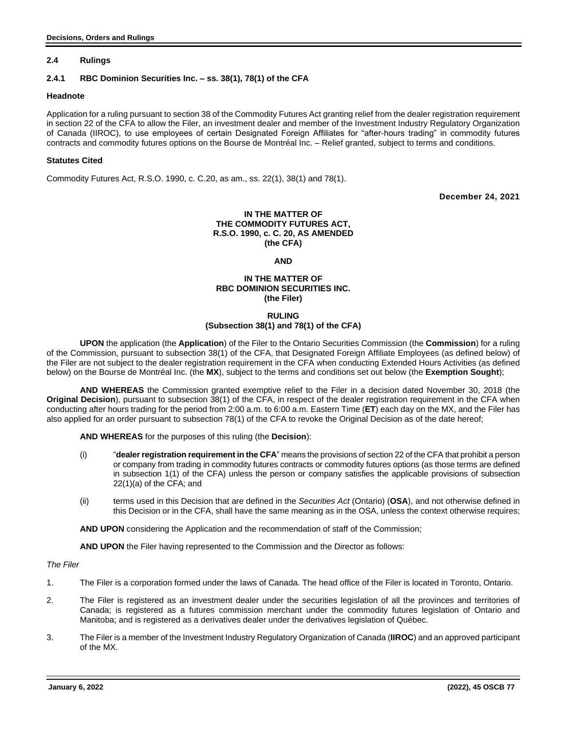## **2.4 Rulings**

## **2.4.1 RBC Dominion Securities Inc. – ss. 38(1), 78(1) of the CFA**

### **Headnote**

Application for a ruling pursuant to section 38 of the Commodity Futures Act granting relief from the dealer registration requirement in section 22 of the CFA to allow the Filer, an investment dealer and member of the Investment Industry Regulatory Organization of Canada (IIROC), to use employees of certain Designated Foreign Affiliates for "after-hours trading" in commodity futures contracts and commodity futures options on the Bourse de Montréal Inc. – Relief granted, subject to terms and conditions.

## **Statutes Cited**

Commodity Futures Act, R.S.O. 1990, c. C.20, as am., ss. 22(1), 38(1) and 78(1).

**December 24, 2021**

## **IN THE MATTER OF THE COMMODITY FUTURES ACT, R.S.O. 1990, c. C. 20, AS AMENDED (the CFA)**

**AND**

## **IN THE MATTER OF RBC DOMINION SECURITIES INC. (the Filer)**

#### **RULING**

# **(Subsection 38(1) and 78(1) of the CFA)**

**UPON** the application (the **Application**) of the Filer to the Ontario Securities Commission (the **Commission**) for a ruling of the Commission, pursuant to subsection 38(1) of the CFA, that Designated Foreign Affiliate Employees (as defined below) of the Filer are not subject to the dealer registration requirement in the CFA when conducting Extended Hours Activities (as defined below) on the Bourse de Montréal Inc. (the **MX**), subject to the terms and conditions set out below (the **Exemption Sought**);

**AND WHEREAS** the Commission granted exemptive relief to the Filer in a decision dated November 30, 2018 (the **Original Decision**), pursuant to subsection 38(1) of the CFA, in respect of the dealer registration requirement in the CFA when conducting after hours trading for the period from 2:00 a.m. to 6:00 a.m. Eastern Time (**ET**) each day on the MX, and the Filer has also applied for an order pursuant to subsection 78(1) of the CFA to revoke the Original Decision as of the date hereof;

**AND WHEREAS** for the purposes of this ruling (the **Decision**):

- (i) "**dealer registration requirement in the CFA**" means the provisions of section 22 of the CFA that prohibit a person or company from trading in commodity futures contracts or commodity futures options (as those terms are defined in subsection 1(1) of the CFA) unless the person or company satisfies the applicable provisions of subsection 22(1)(a) of the CFA; and
- (ii) terms used in this Decision that are defined in the *Securities Act* (Ontario) (**OSA**), and not otherwise defined in this Decision or in the CFA, shall have the same meaning as in the OSA, unless the context otherwise requires;

**AND UPON** considering the Application and the recommendation of staff of the Commission;

**AND UPON** the Filer having represented to the Commission and the Director as follows:

## *The Filer*

- 1. The Filer is a corporation formed under the laws of Canada. The head office of the Filer is located in Toronto, Ontario.
- 2. The Filer is registered as an investment dealer under the securities legislation of all the provinces and territories of Canada; is registered as a futures commission merchant under the commodity futures legislation of Ontario and Manitoba; and is registered as a derivatives dealer under the derivatives legislation of Québec.
- 3. The Filer is a member of the Investment Industry Regulatory Organization of Canada (**IIROC**) and an approved participant of the MX.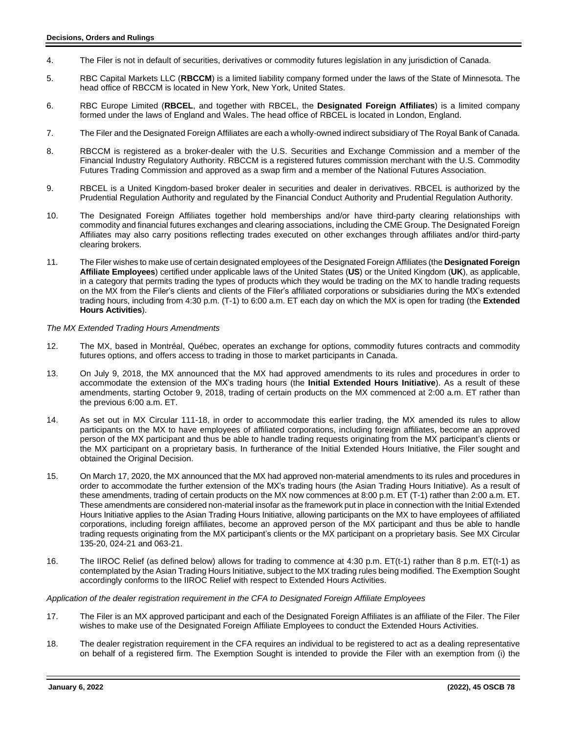- 4. The Filer is not in default of securities, derivatives or commodity futures legislation in any jurisdiction of Canada.
- 5. RBC Capital Markets LLC (**RBCCM**) is a limited liability company formed under the laws of the State of Minnesota. The head office of RBCCM is located in New York, New York, United States.
- 6. RBC Europe Limited (**RBCEL**, and together with RBCEL, the **Designated Foreign Affiliates**) is a limited company formed under the laws of England and Wales. The head office of RBCEL is located in London, England.
- 7. The Filer and the Designated Foreign Affiliates are each a wholly-owned indirect subsidiary of The Royal Bank of Canada.
- 8. RBCCM is registered as a broker-dealer with the U.S. Securities and Exchange Commission and a member of the Financial Industry Regulatory Authority. RBCCM is a registered futures commission merchant with the U.S. Commodity Futures Trading Commission and approved as a swap firm and a member of the National Futures Association.
- 9. RBCEL is a United Kingdom-based broker dealer in securities and dealer in derivatives. RBCEL is authorized by the Prudential Regulation Authority and regulated by the Financial Conduct Authority and Prudential Regulation Authority.
- 10. The Designated Foreign Affiliates together hold memberships and/or have third-party clearing relationships with commodity and financial futures exchanges and clearing associations, including the CME Group. The Designated Foreign Affiliates may also carry positions reflecting trades executed on other exchanges through affiliates and/or third-party clearing brokers.
- 11. The Filer wishes to make use of certain designated employees of the Designated Foreign Affiliates (the **Designated Foreign Affiliate Employees**) certified under applicable laws of the United States (**US**) or the United Kingdom (**UK**), as applicable, in a category that permits trading the types of products which they would be trading on the MX to handle trading requests on the MX from the Filer's clients and clients of the Filer's affiliated corporations or subsidiaries during the MX's extended trading hours, including from 4:30 p.m. (T-1) to 6:00 a.m. ET each day on which the MX is open for trading (the **Extended Hours Activities**).

## *The MX Extended Trading Hours Amendments*

- 12. The MX, based in Montréal, Québec, operates an exchange for options, commodity futures contracts and commodity futures options, and offers access to trading in those to market participants in Canada.
- 13. On July 9, 2018, the MX announced that the MX had approved amendments to its rules and procedures in order to accommodate the extension of the MX's trading hours (the **Initial Extended Hours Initiative**). As a result of these amendments, starting October 9, 2018, trading of certain products on the MX commenced at 2:00 a.m. ET rather than the previous 6:00 a.m. ET.
- 14. As set out in MX Circular 111-18, in order to accommodate this earlier trading, the MX amended its rules to allow participants on the MX to have employees of affiliated corporations, including foreign affiliates, become an approved person of the MX participant and thus be able to handle trading requests originating from the MX participant's clients or the MX participant on a proprietary basis. In furtherance of the Initial Extended Hours Initiative, the Filer sought and obtained the Original Decision.
- 15. On March 17, 2020, the MX announced that the MX had approved non-material amendments to its rules and procedures in order to accommodate the further extension of the MX's trading hours (the Asian Trading Hours Initiative). As a result of these amendments, trading of certain products on the MX now commences at 8:00 p.m. ET (T-1) rather than 2:00 a.m. ET. These amendments are considered non-material insofar as the framework put in place in connection with the Initial Extended Hours Initiative applies to the Asian Trading Hours Initiative, allowing participants on the MX to have employees of affiliated corporations, including foreign affiliates, become an approved person of the MX participant and thus be able to handle trading requests originating from the MX participant's clients or the MX participant on a proprietary basis. See MX Circular 135-20, 024-21 and 063-21.
- 16. The IIROC Relief (as defined below) allows for trading to commence at 4:30 p.m. ET(t-1) rather than 8 p.m. ET(t-1) as contemplated by the Asian Trading Hours Initiative, subject to the MX trading rules being modified. The Exemption Sought accordingly conforms to the IIROC Relief with respect to Extended Hours Activities.

## *Application of the dealer registration requirement in the CFA to Designated Foreign Affiliate Employees*

- 17. The Filer is an MX approved participant and each of the Designated Foreign Affiliates is an affiliate of the Filer. The Filer wishes to make use of the Designated Foreign Affiliate Employees to conduct the Extended Hours Activities.
- 18. The dealer registration requirement in the CFA requires an individual to be registered to act as a dealing representative on behalf of a registered firm. The Exemption Sought is intended to provide the Filer with an exemption from (i) the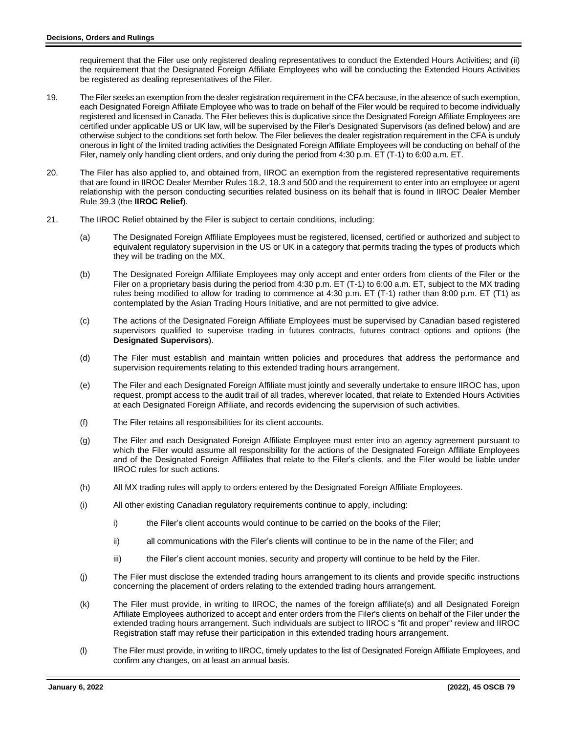requirement that the Filer use only registered dealing representatives to conduct the Extended Hours Activities; and (ii) the requirement that the Designated Foreign Affiliate Employees who will be conducting the Extended Hours Activities be registered as dealing representatives of the Filer.

- 19. The Filer seeks an exemption from the dealer registration requirement in the CFA because, in the absence of such exemption, each Designated Foreign Affiliate Employee who was to trade on behalf of the Filer would be required to become individually registered and licensed in Canada. The Filer believes this is duplicative since the Designated Foreign Affiliate Employees are certified under applicable US or UK law, will be supervised by the Filer's Designated Supervisors (as defined below) and are otherwise subject to the conditions set forth below. The Filer believes the dealer registration requirement in the CFA is unduly onerous in light of the limited trading activities the Designated Foreign Affiliate Employees will be conducting on behalf of the Filer, namely only handling client orders, and only during the period from 4:30 p.m. ET (T-1) to 6:00 a.m. ET.
- 20. The Filer has also applied to, and obtained from, IIROC an exemption from the registered representative requirements that are found in IIROC Dealer Member Rules 18.2, 18.3 and 500 and the requirement to enter into an employee or agent relationship with the person conducting securities related business on its behalf that is found in IIROC Dealer Member Rule 39.3 (the **IIROC Relief**).
- 21. The IIROC Relief obtained by the Filer is subject to certain conditions, including:
	- (a) The Designated Foreign Affiliate Employees must be registered, licensed, certified or authorized and subject to equivalent regulatory supervision in the US or UK in a category that permits trading the types of products which they will be trading on the MX.
	- (b) The Designated Foreign Affiliate Employees may only accept and enter orders from clients of the Filer or the Filer on a proprietary basis during the period from 4:30 p.m. ET (T-1) to 6:00 a.m. ET, subject to the MX trading rules being modified to allow for trading to commence at 4:30 p.m. ET (T-1) rather than 8:00 p.m. ET (T1) as contemplated by the Asian Trading Hours Initiative, and are not permitted to give advice.
	- (c) The actions of the Designated Foreign Affiliate Employees must be supervised by Canadian based registered supervisors qualified to supervise trading in futures contracts, futures contract options and options (the **Designated Supervisors**).
	- (d) The Filer must establish and maintain written policies and procedures that address the performance and supervision requirements relating to this extended trading hours arrangement.
	- (e) The Filer and each Designated Foreign Affiliate must jointly and severally undertake to ensure IIROC has, upon request, prompt access to the audit trail of all trades, wherever located, that relate to Extended Hours Activities at each Designated Foreign Affiliate, and records evidencing the supervision of such activities.
	- (f) The Filer retains all responsibilities for its client accounts.
	- (g) The Filer and each Designated Foreign Affiliate Employee must enter into an agency agreement pursuant to which the Filer would assume all responsibility for the actions of the Designated Foreign Affiliate Employees and of the Designated Foreign Affiliates that relate to the Filer's clients, and the Filer would be liable under IIROC rules for such actions.
	- (h) All MX trading rules will apply to orders entered by the Designated Foreign Affiliate Employees.
	- (i) All other existing Canadian regulatory requirements continue to apply, including:
		- i) the Filer's client accounts would continue to be carried on the books of the Filer;
		- ii) all communications with the Filer's clients will continue to be in the name of the Filer; and
		- iii) the Filer's client account monies, security and property will continue to be held by the Filer.
	- (j) The Filer must disclose the extended trading hours arrangement to its clients and provide specific instructions concerning the placement of orders relating to the extended trading hours arrangement.
	- (k) The Filer must provide, in writing to IIROC, the names of the foreign affiliate(s) and all Designated Foreign Affiliate Employees authorized to accept and enter orders from the Filer's clients on behalf of the Filer under the extended trading hours arrangement. Such individuals are subject to IIROC s "fit and proper" review and IIROC Registration staff may refuse their participation in this extended trading hours arrangement.
	- (l) The Filer must provide, in writing to IIROC, timely updates to the list of Designated Foreign Affiliate Employees, and confirm any changes, on at least an annual basis.